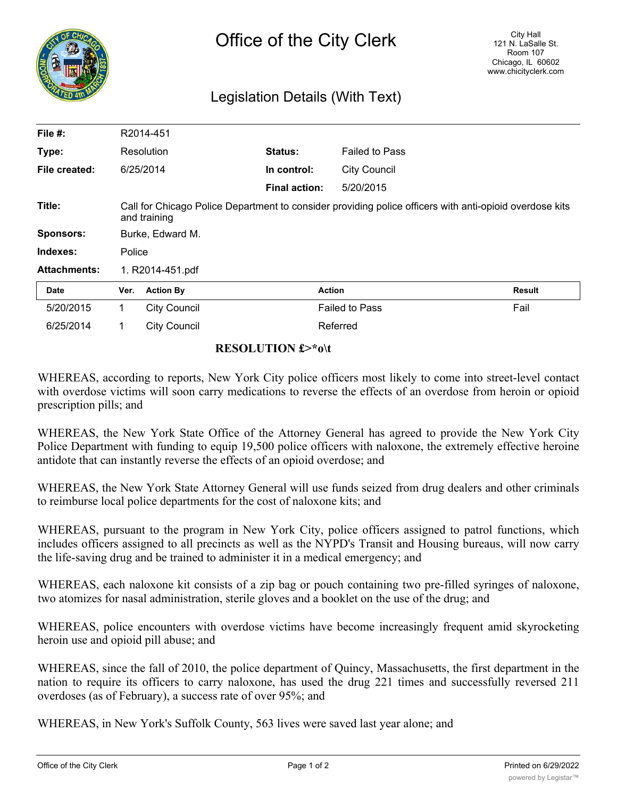

## Legislation Details (With Text)

| File #:             |                                                                                                                         | R2014-451           |                      |                       |               |
|---------------------|-------------------------------------------------------------------------------------------------------------------------|---------------------|----------------------|-----------------------|---------------|
| Type:               |                                                                                                                         | Resolution          | Status:              | <b>Failed to Pass</b> |               |
| File created:       |                                                                                                                         | 6/25/2014           | In control:          | <b>City Council</b>   |               |
|                     |                                                                                                                         |                     | <b>Final action:</b> | 5/20/2015             |               |
| Title:              | Call for Chicago Police Department to consider providing police officers with anti-opioid overdose kits<br>and training |                     |                      |                       |               |
| <b>Sponsors:</b>    | Burke, Edward M.                                                                                                        |                     |                      |                       |               |
| Indexes:            | Police                                                                                                                  |                     |                      |                       |               |
| <b>Attachments:</b> | 1. R2014-451.pdf                                                                                                        |                     |                      |                       |               |
| Date                | Ver.                                                                                                                    | <b>Action By</b>    |                      | <b>Action</b>         | <b>Result</b> |
| 5/20/2015           | 1.                                                                                                                      | <b>City Council</b> |                      | <b>Failed to Pass</b> | Fail          |
| 6/25/2014           |                                                                                                                         | <b>City Council</b> |                      | Referred              |               |

## **RESOLUTION £>\*o\t**

WHEREAS, according to reports, New York City police officers most likely to come into street-level contact with overdose victims will soon carry medications to reverse the effects of an overdose from heroin or opioid prescription pills; and

WHEREAS, the New York State Office of the Attorney General has agreed to provide the New York City Police Department with funding to equip 19,500 police officers with naloxone, the extremely effective heroine antidote that can instantly reverse the effects of an opioid overdose; and

WHEREAS, the New York State Attorney General will use funds seized from drug dealers and other criminals to reimburse local police departments for the cost of naloxone kits; and

WHEREAS, pursuant to the program in New York City, police officers assigned to patrol functions, which includes officers assigned to all precincts as well as the NYPD's Transit and Housing bureaus, will now carry the life-saving drug and be trained to administer it in a medical emergency; and

WHEREAS, each naloxone kit consists of a zip bag or pouch containing two pre-filled syringes of naloxone, two atomizes for nasal administration, sterile gloves and a booklet on the use of the drug; and

WHEREAS, police encounters with overdose victims have become increasingly frequent amid skyrocketing heroin use and opioid pill abuse; and

WHEREAS, since the fall of 2010, the police department of Quincy, Massachusetts, the first department in the nation to require its officers to carry naloxone, has used the drug 221 times and successfully reversed 211 overdoses (as of February), a success rate of over 95%; and

WHEREAS, in New York's Suffolk County, 563 lives were saved last year alone; and